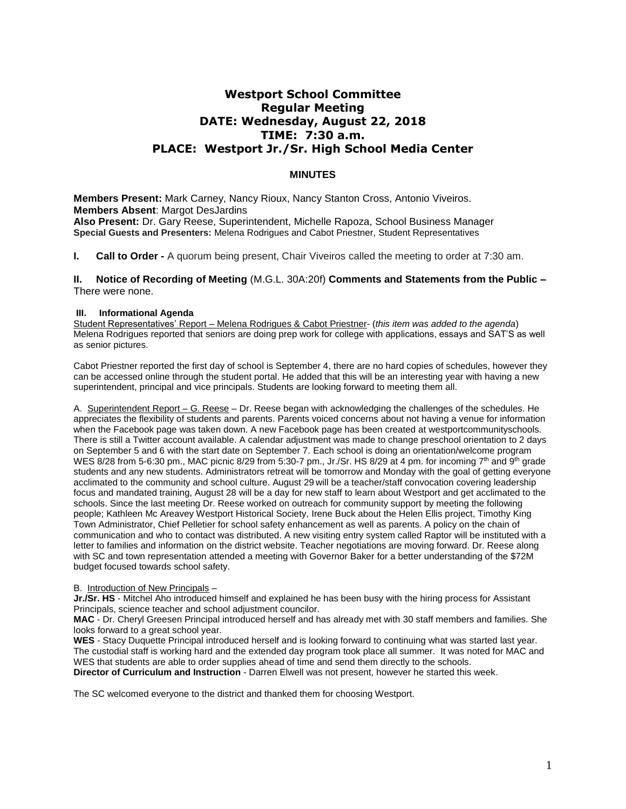# **Westport School Committee Regular Meeting DATE: Wednesday, August 22, 2018 TIME: 7:30 a.m. PLACE: Westport Jr./Sr. High School Media Center**

# **MINUTES**

**Members Present:** Mark Carney, Nancy Rioux, Nancy Stanton Cross, Antonio Viveiros. **Members Absent**: Margot DesJardins **Also Present:** Dr. Gary Reese, Superintendent, Michelle Rapoza, School Business Manager **Special Guests and Presenters:** Melena Rodrigues and Cabot Priestner, Student Representatives

# **I. Call to Order -** A quorum being present, Chair Viveiros called the meeting to order at 7:30 am.

## **II. Notice of Recording of Meeting** (M.G.L. 30A:20f) **Comments and Statements from the Public –** There were none.

#### **III. Informational Agenda**

Student Representatives' Report – Melena Rodrigues & Cabot Priestner- (*this item was added to the agenda*) Melena Rodrigues reported that seniors are doing prep work for college with applications, essays and SAT'S as well as senior pictures.

Cabot Priestner reported the first day of school is September 4, there are no hard copies of schedules, however they can be accessed online through the student portal. He added that this will be an interesting year with having a new superintendent, principal and vice principals. Students are looking forward to meeting them all.

A. Superintendent Report – G. Reese – Dr. Reese began with acknowledging the challenges of the schedules. He appreciates the flexibility of students and parents. Parents voiced concerns about not having a venue for information when the Facebook page was taken down. A new Facebook page has been created at westportcommunityschools. There is still a Twitter account available. A calendar adjustment was made to change preschool orientation to 2 days on September 5 and 6 with the start date on September 7. Each school is doing an orientation/welcome program WES 8/28 from 5-6:30 pm., MAC picnic 8/29 from 5:30-7 pm., Jr./Sr. HS 8/29 at 4 pm. for incoming 7<sup>th</sup> and 9<sup>th</sup> grade students and any new students. Administrators retreat will be tomorrow and Monday with the goal of getting everyone acclimated to the community and school culture. August 29 will be a teacher/staff convocation covering leadership focus and mandated training, August 28 will be a day for new staff to learn about Westport and get acclimated to the schools. Since the last meeting Dr. Reese worked on outreach for community support by meeting the following people; Kathleen Mc Areavey Westport Historical Society, Irene Buck about the Helen Ellis project, Timothy King Town Administrator, Chief Pelletier for school safety enhancement as well as parents. A policy on the chain of communication and who to contact was distributed. A new visiting entry system called Raptor will be instituted with a letter to families and information on the district website. Teacher negotiations are moving forward. Dr. Reese along with SC and town representation attended a meeting with Governor Baker for a better understanding of the \$72M budget focused towards school safety.

#### B. Introduction of New Principals –

**Jr./Sr. HS** - Mitchel Aho introduced himself and explained he has been busy with the hiring process for Assistant Principals, science teacher and school adjustment councilor.

**MAC** - Dr. Cheryl Greesen Principal introduced herself and has already met with 30 staff members and families. She looks forward to a great school year.

**WES** - Stacy Duquette Principal introduced herself and is looking forward to continuing what was started last year. The custodial staff is working hard and the extended day program took place all summer. It was noted for MAC and WES that students are able to order supplies ahead of time and send them directly to the schools. **Director of Curriculum and Instruction** - Darren Elwell was not present, however he started this week.

The SC welcomed everyone to the district and thanked them for choosing Westport.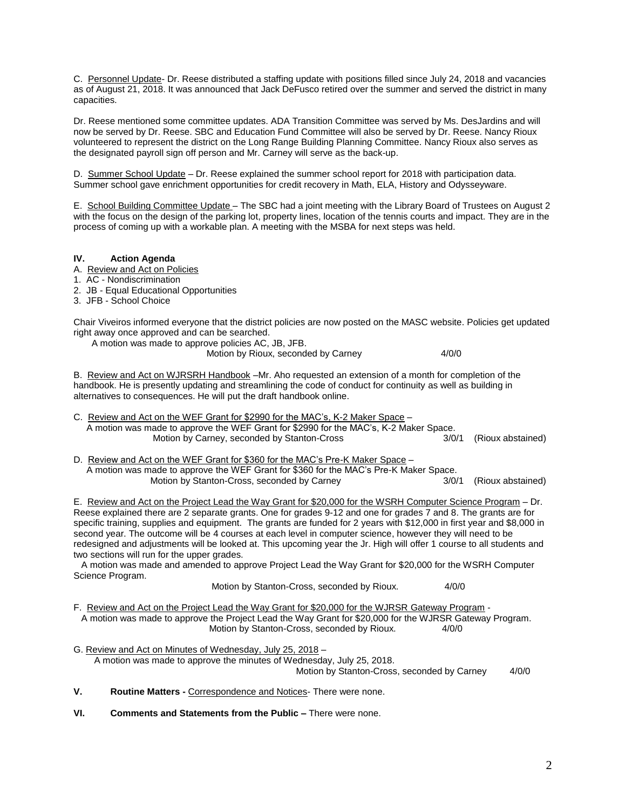C. Personnel Update- Dr. Reese distributed a staffing update with positions filled since July 24, 2018 and vacancies as of August 21, 2018. It was announced that Jack DeFusco retired over the summer and served the district in many capacities.

Dr. Reese mentioned some committee updates. ADA Transition Committee was served by Ms. DesJardins and will now be served by Dr. Reese. SBC and Education Fund Committee will also be served by Dr. Reese. Nancy Rioux volunteered to represent the district on the Long Range Building Planning Committee. Nancy Rioux also serves as the designated payroll sign off person and Mr. Carney will serve as the back-up.

D. Summer School Update - Dr. Reese explained the summer school report for 2018 with participation data. Summer school gave enrichment opportunities for credit recovery in Math, ELA, History and Odysseyware.

E. School Building Committee Update – The SBC had a joint meeting with the Library Board of Trustees on August 2 with the focus on the design of the parking lot, property lines, location of the tennis courts and impact. They are in the process of coming up with a workable plan. A meeting with the MSBA for next steps was held.

## **IV. Action Agenda**

- A. Review and Act on Policies
- 1. AC Nondiscrimination
- 2. JB Equal Educational Opportunities
- 3. JFB School Choice

Chair Viveiros informed everyone that the district policies are now posted on the MASC website. Policies get updated right away once approved and can be searched.

A motion was made to approve policies AC, JB, JFB.

Motion by Rioux, seconded by Carney 4/0/0

B. Review and Act on WJRSRH Handbook –Mr. Aho requested an extension of a month for completion of the handbook. He is presently updating and streamlining the code of conduct for continuity as well as building in alternatives to consequences. He will put the draft handbook online.

C. Review and Act on the WEF Grant for \$2990 for the MAC's, K-2 Maker Space – A motion was made to approve the WEF Grant for \$2990 for the MAC's, K-2 Maker Space. Motion by Carney, seconded by Stanton-Cross 3/0/1 (Rioux abstained)

D. Review and Act on the WEF Grant for \$360 for the MAC's Pre-K Maker Space - A motion was made to approve the WEF Grant for \$360 for the MAC's Pre-K Maker Space. Motion by Stanton-Cross, seconded by Carney **3/0/1** (Rioux abstained)

E. Review and Act on the Project Lead the Way Grant for \$20,000 for the WSRH Computer Science Program – Dr. Reese explained there are 2 separate grants. One for grades 9-12 and one for grades 7 and 8. The grants are for specific training, supplies and equipment. The grants are funded for 2 years with \$12,000 in first year and \$8,000 in second year. The outcome will be 4 courses at each level in computer science, however they will need to be redesigned and adjustments will be looked at. This upcoming year the Jr. High will offer 1 course to all students and two sections will run for the upper grades.

 A motion was made and amended to approve Project Lead the Way Grant for \$20,000 for the WSRH Computer Science Program.

Motion by Stanton-Cross, seconded by Rioux. 4/0/0

F. Review and Act on the Project Lead the Way Grant for \$20,000 for the WJRSR Gateway Program - A motion was made to approve the Project Lead the Way Grant for \$20,000 for the WJRSR Gateway Program. Motion by Stanton-Cross, seconded by Rioux. 4/0/0

- G. Review and Act on Minutes of Wednesday, July 25, 2018 A motion was made to approve the minutes of Wednesday, July 25, 2018. Motion by Stanton-Cross, seconded by Carney 4/0/0
- **V. Routine Matters -** Correspondence and Notices- There were none.
- **VI. Comments and Statements from the Public –** There were none.